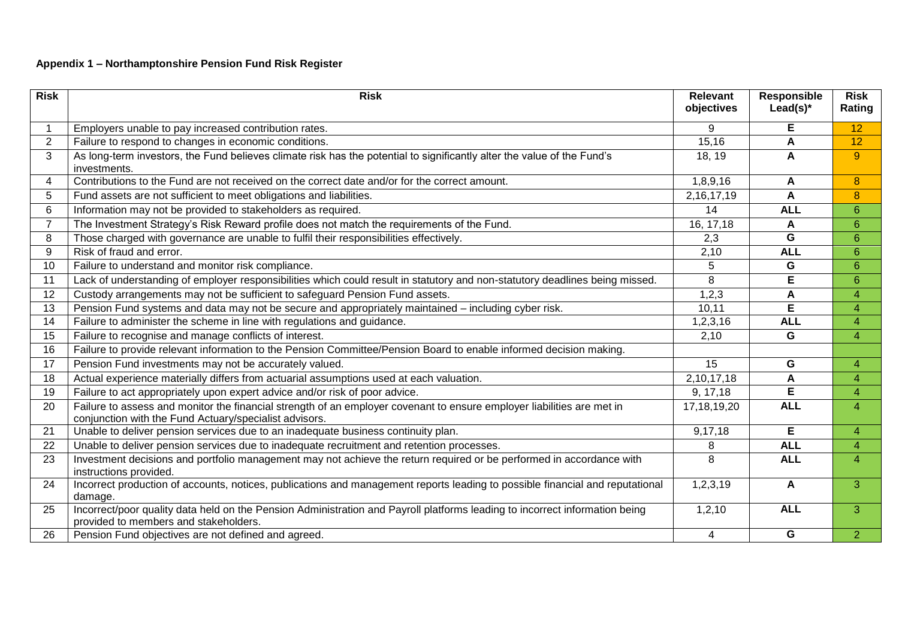## **Appendix 1 – Northamptonshire Pension Fund Risk Register**

| <b>Risk</b>    | <b>Risk</b>                                                                                                                                                                      | <b>Relevant</b><br>objectives | Responsible<br>Lead(s) $*$ | <b>Risk</b><br>Rating |
|----------------|----------------------------------------------------------------------------------------------------------------------------------------------------------------------------------|-------------------------------|----------------------------|-----------------------|
|                | Employers unable to pay increased contribution rates.                                                                                                                            | 9                             | Е                          | $\overline{12}$       |
| $\overline{2}$ | Failure to respond to changes in economic conditions.                                                                                                                            | 15,16                         | A                          | 12                    |
| 3              | As long-term investors, the Fund believes climate risk has the potential to significantly alter the value of the Fund's<br>investments.                                          | 18, 19                        | $\mathbf{A}$               | $9^{\circ}$           |
| 4              | Contributions to the Fund are not received on the correct date and/or for the correct amount.                                                                                    | 1,8,9,16                      | A                          | 8                     |
| 5              | Fund assets are not sufficient to meet obligations and liabilities.                                                                                                              | 2, 16, 17, 19                 | A                          | $\boldsymbol{8}$      |
| 6              | Information may not be provided to stakeholders as required.                                                                                                                     | 14                            | <b>ALL</b>                 | $6\phantom{1}$        |
| $\overline{7}$ | The Investment Strategy's Risk Reward profile does not match the requirements of the Fund.                                                                                       | 16, 17, 18                    | A                          | $6\phantom{1}$        |
| 8              | Those charged with governance are unable to fulfil their responsibilities effectively.                                                                                           | 2,3                           | G                          | 6                     |
| 9              | Risk of fraud and error.                                                                                                                                                         | 2,10                          | <b>ALL</b>                 | $6\phantom{1}$        |
| 10             | Failure to understand and monitor risk compliance.                                                                                                                               | 5                             | G                          | $6\phantom{1}$        |
| 11             | Lack of understanding of employer responsibilities which could result in statutory and non-statutory deadlines being missed.                                                     | 8                             | Е                          | 6                     |
| 12             | Custody arrangements may not be sufficient to safeguard Pension Fund assets.                                                                                                     | 1,2,3                         | A                          | 4                     |
| 13             | Pension Fund systems and data may not be secure and appropriately maintained - including cyber risk.                                                                             | 10,11                         | E                          | 4                     |
| 14             | Failure to administer the scheme in line with regulations and guidance.                                                                                                          | 1,2,3,16                      | <b>ALL</b>                 | $\overline{4}$        |
| 15             | Failure to recognise and manage conflicts of interest.                                                                                                                           | 2,10                          | G                          | 4                     |
| 16             | Failure to provide relevant information to the Pension Committee/Pension Board to enable informed decision making.                                                               |                               |                            |                       |
| 17             | Pension Fund investments may not be accurately valued.                                                                                                                           | 15                            | G                          | 4                     |
| 18             | Actual experience materially differs from actuarial assumptions used at each valuation.                                                                                          | 2,10,17,18                    | A                          | 4                     |
| 19             | Failure to act appropriately upon expert advice and/or risk of poor advice.                                                                                                      | 9, 17, 18                     | Е                          | 4                     |
| 20             | Failure to assess and monitor the financial strength of an employer covenant to ensure employer liabilities are met in<br>conjunction with the Fund Actuary/specialist advisors. | 17, 18, 19, 20                | <b>ALL</b>                 | 4                     |
| 21             | Unable to deliver pension services due to an inadequate business continuity plan.                                                                                                | 9,17,18                       | E                          | 4                     |
| 22             | Unable to deliver pension services due to inadequate recruitment and retention processes.                                                                                        | 8                             | <b>ALL</b>                 | 4                     |
| 23             | Investment decisions and portfolio management may not achieve the return required or be performed in accordance with<br>instructions provided.                                   | 8                             | <b>ALL</b>                 | 4                     |
| 24             | Incorrect production of accounts, notices, publications and management reports leading to possible financial and reputational<br>damage.                                         | 1,2,3,19                      | $\mathsf{A}$               | 3                     |
| 25             | Incorrect/poor quality data held on the Pension Administration and Payroll platforms leading to incorrect information being<br>provided to members and stakeholders.             | 1,2,10                        | <b>ALL</b>                 | 3                     |
| 26             | Pension Fund objectives are not defined and agreed.                                                                                                                              | 4                             | G                          | $\overline{2}$        |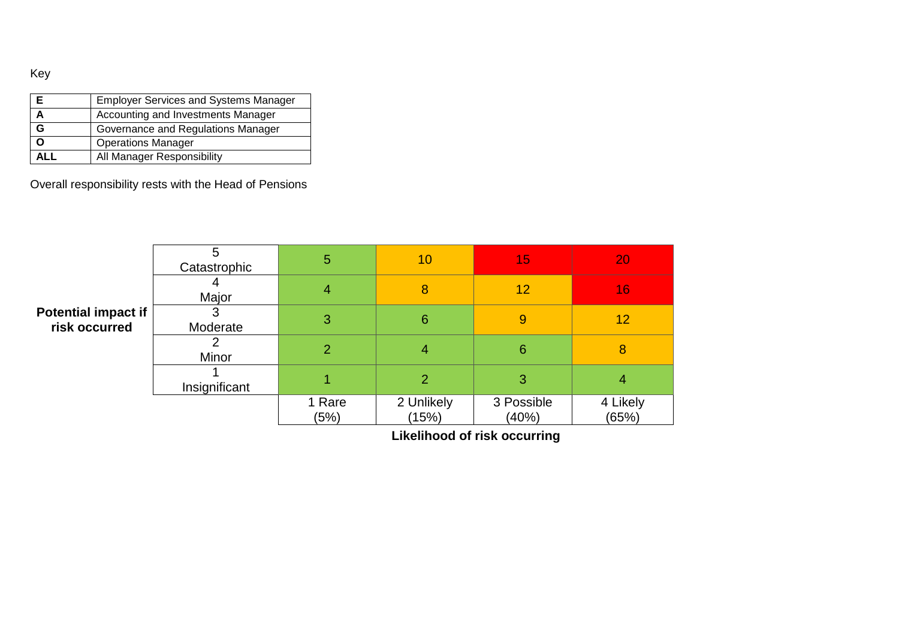Key

|      | <b>Employer Services and Systems Manager</b> |
|------|----------------------------------------------|
|      | Accounting and Investments Manager           |
| G    | Governance and Regulations Manager           |
| O    | <b>Operations Manager</b>                    |
| AI I | All Manager Responsibility                   |

Overall responsibility rests with the Head of Pensions

|                                      | 5<br>Catastrophic | 5              | 10                  | 15                  | 20                |
|--------------------------------------|-------------------|----------------|---------------------|---------------------|-------------------|
|                                      | Major             | 4              | 8                   | 12                  | 16                |
| Potential impact if<br>risk occurred | Moderate          | 3              | 6                   | 9                   | 12                |
|                                      | Minor             | $\overline{2}$ | 4                   | 6                   | 8                 |
|                                      | Insignificant     |                | $\overline{2}$      | 3                   | 4                 |
|                                      |                   | 1 Rare<br>(5%) | 2 Unlikely<br>(15%) | 3 Possible<br>(40%) | 4 Likely<br>(65%) |

**Likelihood of risk occurring**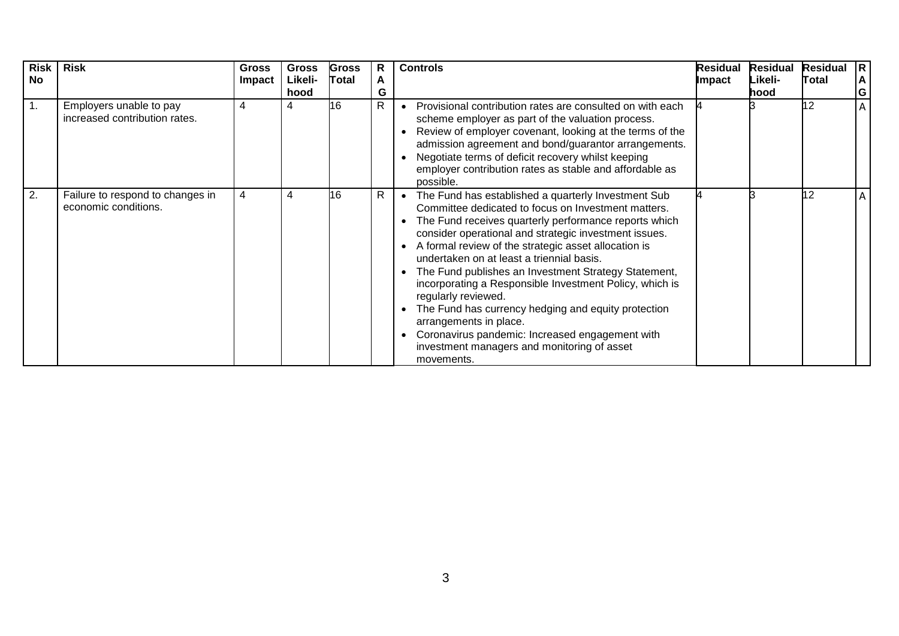| <b>Risk</b><br><b>No</b> | <b>Risk</b>                                              | <b>Gross</b><br><b>Impact</b> | <b>Gross</b><br>Likeli- | <b>Gross</b><br>Total | R<br>A       | <b>Controls</b>                                                                                                                                                                                                                                                                                                                                                                                                                                                                                                                                                                                                                                                                           | Residual<br>Impact | <b>Residual</b><br>Likeli- | <b>Residual</b><br>Total | $\mathsf{R}$<br>A |
|--------------------------|----------------------------------------------------------|-------------------------------|-------------------------|-----------------------|--------------|-------------------------------------------------------------------------------------------------------------------------------------------------------------------------------------------------------------------------------------------------------------------------------------------------------------------------------------------------------------------------------------------------------------------------------------------------------------------------------------------------------------------------------------------------------------------------------------------------------------------------------------------------------------------------------------------|--------------------|----------------------------|--------------------------|-------------------|
|                          |                                                          |                               | hood                    |                       | G            |                                                                                                                                                                                                                                                                                                                                                                                                                                                                                                                                                                                                                                                                                           |                    | hood                       |                          | G                 |
|                          | Employers unable to pay<br>increased contribution rates. | 4                             |                         | 16                    | R            | Provisional contribution rates are consulted on with each<br>scheme employer as part of the valuation process.<br>Review of employer covenant, looking at the terms of the<br>admission agreement and bond/guarantor arrangements.<br>Negotiate terms of deficit recovery whilst keeping<br>employer contribution rates as stable and affordable as<br>possible.                                                                                                                                                                                                                                                                                                                          |                    |                            | 12                       | A                 |
| 2.                       | Failure to respond to changes in<br>economic conditions. | 4                             |                         | 16                    | $\mathsf{R}$ | The Fund has established a quarterly Investment Sub<br>Committee dedicated to focus on Investment matters.<br>The Fund receives quarterly performance reports which<br>consider operational and strategic investment issues.<br>A formal review of the strategic asset allocation is<br>$\bullet$<br>undertaken on at least a triennial basis.<br>The Fund publishes an Investment Strategy Statement,<br>incorporating a Responsible Investment Policy, which is<br>regularly reviewed.<br>The Fund has currency hedging and equity protection<br>arrangements in place.<br>Coronavirus pandemic: Increased engagement with<br>investment managers and monitoring of asset<br>movements. |                    |                            | 12                       | A                 |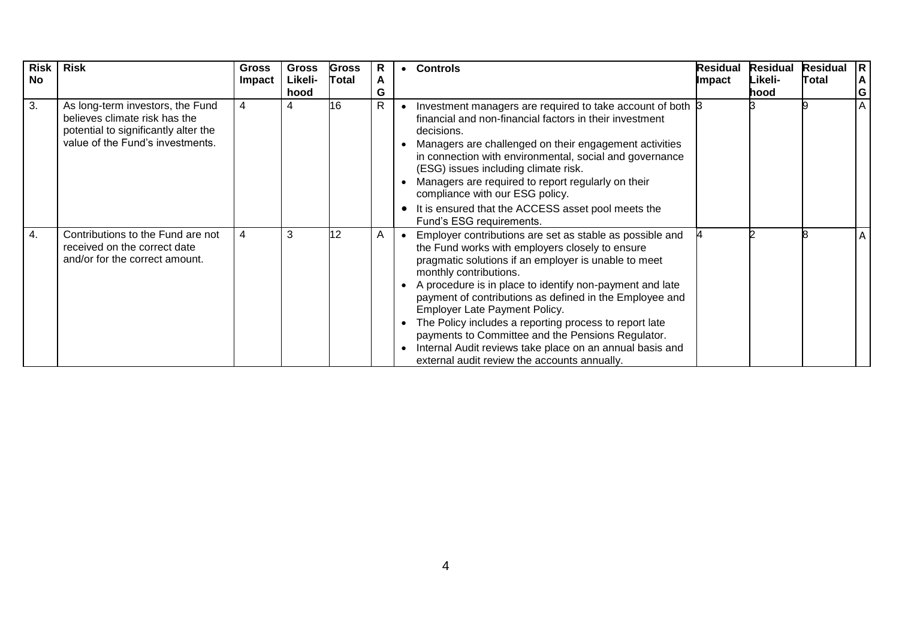| <b>Risk</b><br><b>No</b> | <b>Risk</b>                                                                                                                                   | Gross<br>Impact | <b>Gross</b><br>Likeli- | <b>Gross</b><br>Total | R<br>A       | $\bullet$ | <b>Controls</b>                                                                                                                                                                                                                                                                                                                                                                                                                                                                                                                                                                         | Residual<br>Impact | <b>Residual</b><br>Likeli- | <b>Residual</b><br>Total | $\overline{R}$<br>A |
|--------------------------|-----------------------------------------------------------------------------------------------------------------------------------------------|-----------------|-------------------------|-----------------------|--------------|-----------|-----------------------------------------------------------------------------------------------------------------------------------------------------------------------------------------------------------------------------------------------------------------------------------------------------------------------------------------------------------------------------------------------------------------------------------------------------------------------------------------------------------------------------------------------------------------------------------------|--------------------|----------------------------|--------------------------|---------------------|
|                          |                                                                                                                                               |                 | hood                    |                       | G            |           |                                                                                                                                                                                                                                                                                                                                                                                                                                                                                                                                                                                         |                    | hood                       |                          | $\mathbf G$         |
| 3.                       | As long-term investors, the Fund<br>believes climate risk has the<br>potential to significantly alter the<br>value of the Fund's investments. | 4               |                         | 16                    | $\mathsf{R}$ |           | Investment managers are required to take account of both $\beta$<br>financial and non-financial factors in their investment<br>decisions.<br>Managers are challenged on their engagement activities<br>in connection with environmental, social and governance<br>(ESG) issues including climate risk.<br>Managers are required to report regularly on their<br>compliance with our ESG policy.                                                                                                                                                                                         |                    |                            |                          | A                   |
|                          |                                                                                                                                               |                 |                         |                       |              |           | It is ensured that the ACCESS asset pool meets the<br>Fund's ESG requirements.                                                                                                                                                                                                                                                                                                                                                                                                                                                                                                          |                    |                            |                          |                     |
| 4.                       | Contributions to the Fund are not<br>received on the correct date<br>and/or for the correct amount.                                           | 4               | 3                       | 12                    | A            |           | Employer contributions are set as stable as possible and<br>the Fund works with employers closely to ensure<br>pragmatic solutions if an employer is unable to meet<br>monthly contributions.<br>A procedure is in place to identify non-payment and late<br>payment of contributions as defined in the Employee and<br><b>Employer Late Payment Policy.</b><br>The Policy includes a reporting process to report late<br>payments to Committee and the Pensions Regulator.<br>Internal Audit reviews take place on an annual basis and<br>external audit review the accounts annually. |                    |                            |                          | A                   |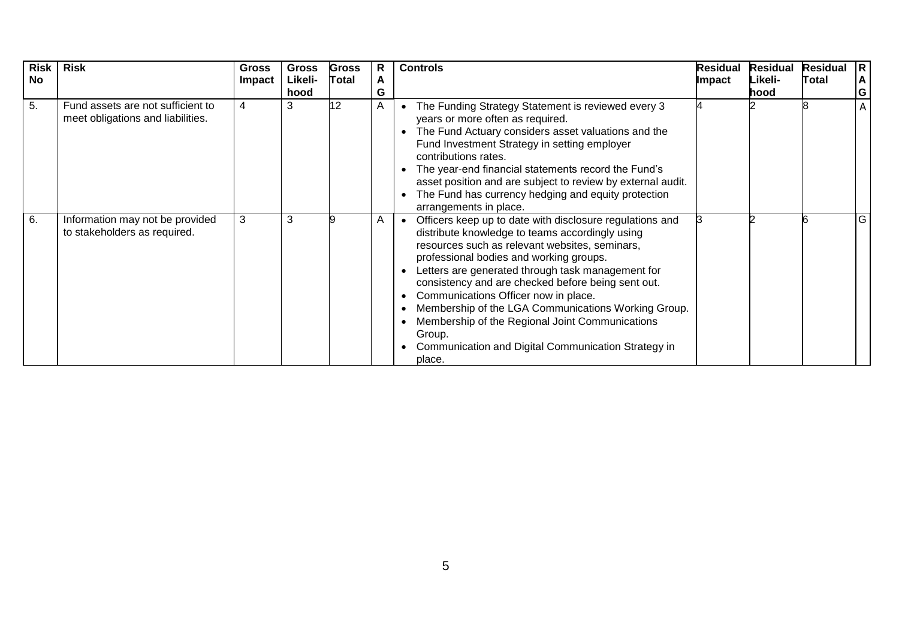| Risk<br><b>No</b> | <b>Risk</b>                                                            | <b>Gross</b><br><b>Impact</b> | <b>Gross</b><br>Likeli- | <b>Gross</b><br><b>Total</b> | R<br>A | <b>Controls</b>                                                                                                                                                                                                                                                                                                                                                                                                                                                                                                                                               | Residual<br><b>Impact</b> | <b>Residual</b><br>Likeli- | <b>Residual</b><br>Total | R.<br>A |
|-------------------|------------------------------------------------------------------------|-------------------------------|-------------------------|------------------------------|--------|---------------------------------------------------------------------------------------------------------------------------------------------------------------------------------------------------------------------------------------------------------------------------------------------------------------------------------------------------------------------------------------------------------------------------------------------------------------------------------------------------------------------------------------------------------------|---------------------------|----------------------------|--------------------------|---------|
|                   |                                                                        |                               | hood                    |                              | G      |                                                                                                                                                                                                                                                                                                                                                                                                                                                                                                                                                               |                           | hood                       |                          | G       |
| 5.                | Fund assets are not sufficient to<br>meet obligations and liabilities. | 4                             | 3                       | 12                           | A      | The Funding Strategy Statement is reviewed every 3<br>years or more often as required.<br>The Fund Actuary considers asset valuations and the<br>Fund Investment Strategy in setting employer<br>contributions rates.<br>The year-end financial statements record the Fund's<br>asset position and are subject to review by external audit.<br>The Fund has currency hedging and equity protection<br>arrangements in place.                                                                                                                                  |                           |                            |                          | A       |
| 6.                | Information may not be provided<br>to stakeholders as required.        | 3                             | 3                       |                              | A      | Officers keep up to date with disclosure regulations and<br>distribute knowledge to teams accordingly using<br>resources such as relevant websites, seminars,<br>professional bodies and working groups.<br>Letters are generated through task management for<br>consistency and are checked before being sent out.<br>Communications Officer now in place.<br>$\bullet$<br>Membership of the LGA Communications Working Group.<br>Membership of the Regional Joint Communications<br>Group.<br>Communication and Digital Communication Strategy in<br>place. |                           |                            |                          | G       |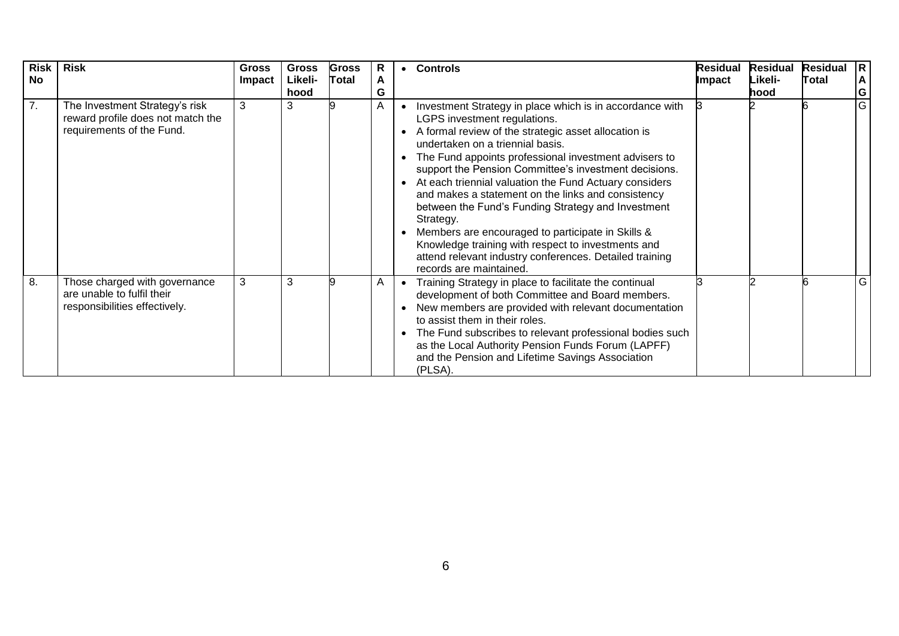| <b>Risk</b><br><b>No</b> | <b>Risk</b>                                                                                      | <b>Gross</b><br><b>Impact</b> | <b>Gross</b><br>Likeli-<br>hood | <b>Gross</b><br><b>Total</b> | R<br>A<br>G | $\bullet$ | <b>Controls</b>                                                                                                                                                                                                                                                                                                                                                                                                                                                                                                                                                                                                                                                                            | Residual<br>Impact | <b>Residual</b><br>Likeli-<br>hood | <b>Residual</b><br>Total | R<br>A<br> G |
|--------------------------|--------------------------------------------------------------------------------------------------|-------------------------------|---------------------------------|------------------------------|-------------|-----------|--------------------------------------------------------------------------------------------------------------------------------------------------------------------------------------------------------------------------------------------------------------------------------------------------------------------------------------------------------------------------------------------------------------------------------------------------------------------------------------------------------------------------------------------------------------------------------------------------------------------------------------------------------------------------------------------|--------------------|------------------------------------|--------------------------|--------------|
| 7.                       | The Investment Strategy's risk<br>reward profile does not match the<br>requirements of the Fund. | 3                             | 3                               |                              | A           |           | Investment Strategy in place which is in accordance with<br>LGPS investment regulations.<br>A formal review of the strategic asset allocation is<br>undertaken on a triennial basis.<br>The Fund appoints professional investment advisers to<br>support the Pension Committee's investment decisions.<br>At each triennial valuation the Fund Actuary considers<br>and makes a statement on the links and consistency<br>between the Fund's Funding Strategy and Investment<br>Strategy.<br>Members are encouraged to participate in Skills &<br>Knowledge training with respect to investments and<br>attend relevant industry conferences. Detailed training<br>records are maintained. |                    |                                    |                          | G            |
| 8.                       | Those charged with governance<br>are unable to fulfil their<br>responsibilities effectively.     | 3                             | 3                               |                              | A           |           | Training Strategy in place to facilitate the continual<br>development of both Committee and Board members.<br>New members are provided with relevant documentation<br>to assist them in their roles.<br>The Fund subscribes to relevant professional bodies such<br>as the Local Authority Pension Funds Forum (LAPFF)<br>and the Pension and Lifetime Savings Association<br>(PLSA).                                                                                                                                                                                                                                                                                                      |                    |                                    |                          | G.           |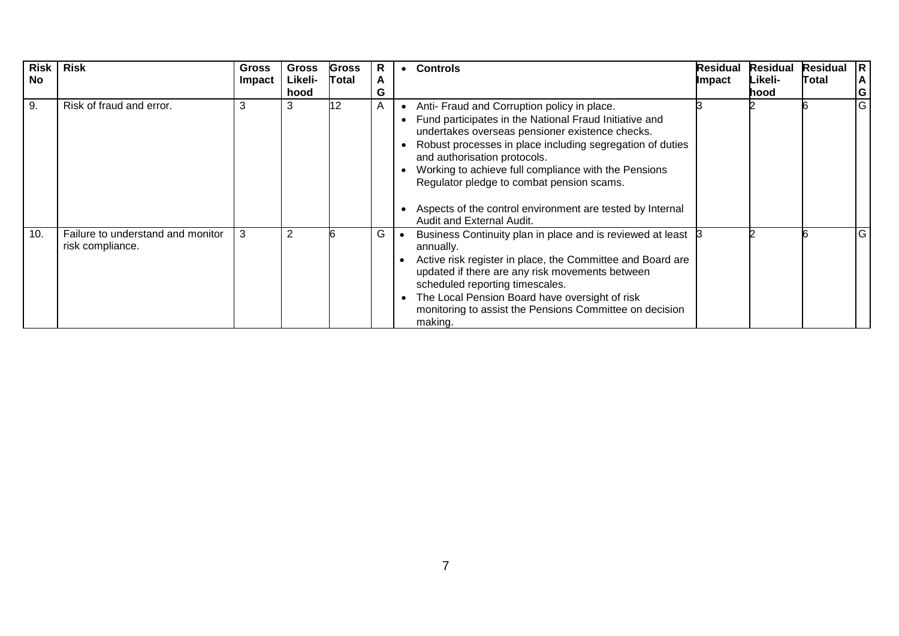| Risk<br>No | <b>Risk</b>                                           | <b>Gross</b><br><b>Impact</b> | <b>Gross</b><br>Likeli-<br>hood | <b>Gross</b><br>Total | R<br>A<br>G    | $\bullet$ | <b>Controls</b>                                                                                                                                                                                                                                                                                                                                                                                                                                      | <b>Residual</b><br>Impact | <b>Residual</b><br>Likeli-<br>hood | <b>Residual</b><br>Total | IR.<br>$\mathbf{A}$<br>G |
|------------|-------------------------------------------------------|-------------------------------|---------------------------------|-----------------------|----------------|-----------|------------------------------------------------------------------------------------------------------------------------------------------------------------------------------------------------------------------------------------------------------------------------------------------------------------------------------------------------------------------------------------------------------------------------------------------------------|---------------------------|------------------------------------|--------------------------|--------------------------|
| 9.         | Risk of fraud and error.                              | 3                             | 3                               | 12                    | $\overline{A}$ |           | Anti- Fraud and Corruption policy in place.<br>Fund participates in the National Fraud Initiative and<br>undertakes overseas pensioner existence checks.<br>Robust processes in place including segregation of duties<br>and authorisation protocols.<br>Working to achieve full compliance with the Pensions<br>Regulator pledge to combat pension scams.<br>Aspects of the control environment are tested by Internal<br>Audit and External Audit. |                           |                                    |                          | G                        |
| 10.        | Failure to understand and monitor<br>risk compliance. | 3                             | 2                               |                       | G              |           | Business Continuity plan in place and is reviewed at least<br>annually.<br>Active risk register in place, the Committee and Board are<br>updated if there are any risk movements between<br>scheduled reporting timescales.<br>The Local Pension Board have oversight of risk<br>monitoring to assist the Pensions Committee on decision<br>making.                                                                                                  |                           |                                    |                          | G                        |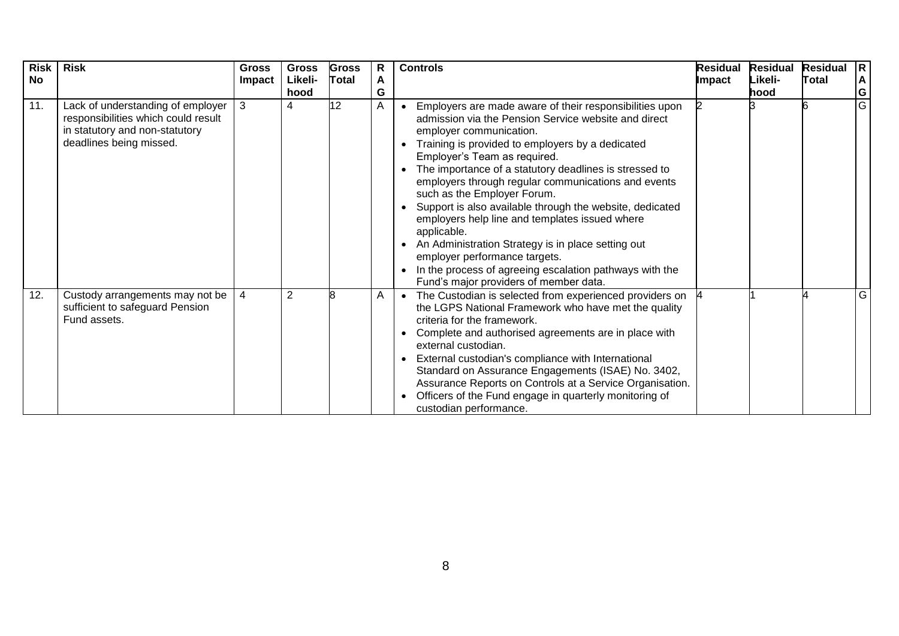| <b>Risk</b><br><b>No</b> | <b>Risk</b>                                                                                                                           | <b>Gross</b><br>Impact | <b>Gross</b><br>Likeli-<br>hood | <b>Gross</b><br><b>Total</b> | R<br>A<br>G | <b>Controls</b>                                                                                                                                                                                                                                                                                                                                                                                                                                                                                                                                                                                                                                                                                         | <b>Residual</b><br><b>Impact</b> | <b>Residual</b><br>Likeli-<br>hood | <b>Residual</b><br>Total | R.<br>$\mathsf{A}$<br>G |
|--------------------------|---------------------------------------------------------------------------------------------------------------------------------------|------------------------|---------------------------------|------------------------------|-------------|---------------------------------------------------------------------------------------------------------------------------------------------------------------------------------------------------------------------------------------------------------------------------------------------------------------------------------------------------------------------------------------------------------------------------------------------------------------------------------------------------------------------------------------------------------------------------------------------------------------------------------------------------------------------------------------------------------|----------------------------------|------------------------------------|--------------------------|-------------------------|
| 11.                      | Lack of understanding of employer<br>responsibilities which could result<br>in statutory and non-statutory<br>deadlines being missed. | 3                      | 4                               | 12                           | Α           | Employers are made aware of their responsibilities upon<br>admission via the Pension Service website and direct<br>employer communication.<br>Training is provided to employers by a dedicated<br>Employer's Team as required.<br>The importance of a statutory deadlines is stressed to<br>employers through regular communications and events<br>such as the Employer Forum.<br>Support is also available through the website, dedicated<br>employers help line and templates issued where<br>applicable.<br>An Administration Strategy is in place setting out<br>employer performance targets.<br>In the process of agreeing escalation pathways with the<br>Fund's major providers of member data. |                                  |                                    |                          | $\overline{G}$          |
| 12.                      | Custody arrangements may not be<br>sufficient to safeguard Pension<br>Fund assets.                                                    | 4                      | $\overline{2}$                  |                              | A           | The Custodian is selected from experienced providers on<br>$\bullet$<br>the LGPS National Framework who have met the quality<br>criteria for the framework.<br>Complete and authorised agreements are in place with<br>external custodian.<br>External custodian's compliance with International<br>Standard on Assurance Engagements (ISAE) No. 3402,<br>Assurance Reports on Controls at a Service Organisation.<br>Officers of the Fund engage in quarterly monitoring of<br>custodian performance.                                                                                                                                                                                                  |                                  |                                    |                          | G                       |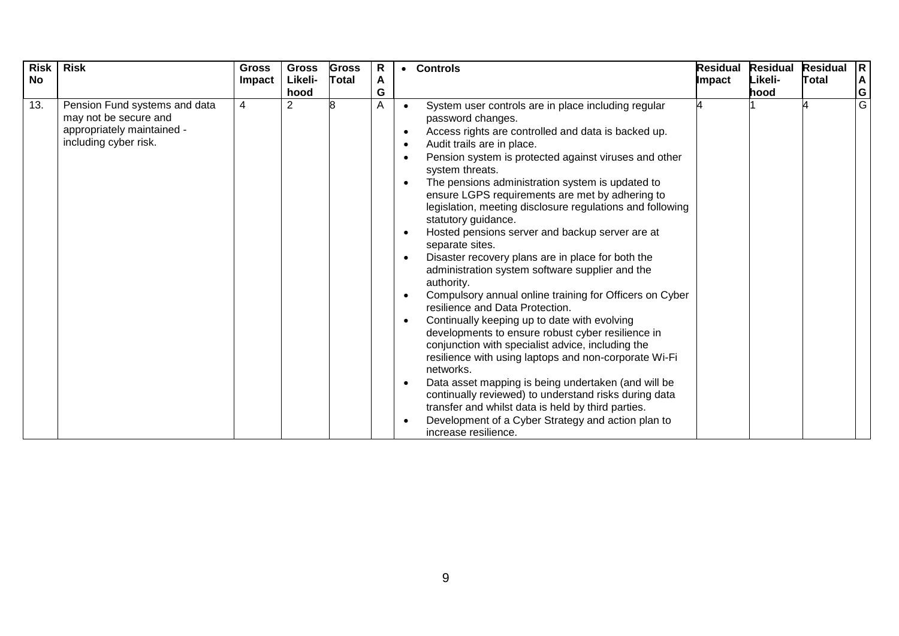| <b>Risk</b><br><b>No</b> | <b>Risk</b>                                                                                                   | <b>Gross</b><br>Impact | <b>Gross</b><br>Likeli-<br>hood | <b>Gross</b><br><b>Total</b> | $\mathsf{R}$<br>A<br>G | $\bullet$                           | <b>Controls</b>                                                                                                                                                                                                                                                                                                                                                                                                                                                                                                                                                                                                                                                                                                                                                                                                                                                                                                                                                                                                                                                                                                                                                                                                    | <b>Residual</b><br>Impact | <b>Residual</b><br>Likeli-<br>hood | <b>Residual</b><br>Total | R<br>İΑ<br>$rac{G}{G}$ |
|--------------------------|---------------------------------------------------------------------------------------------------------------|------------------------|---------------------------------|------------------------------|------------------------|-------------------------------------|--------------------------------------------------------------------------------------------------------------------------------------------------------------------------------------------------------------------------------------------------------------------------------------------------------------------------------------------------------------------------------------------------------------------------------------------------------------------------------------------------------------------------------------------------------------------------------------------------------------------------------------------------------------------------------------------------------------------------------------------------------------------------------------------------------------------------------------------------------------------------------------------------------------------------------------------------------------------------------------------------------------------------------------------------------------------------------------------------------------------------------------------------------------------------------------------------------------------|---------------------------|------------------------------------|--------------------------|------------------------|
| 13.                      | Pension Fund systems and data<br>may not be secure and<br>appropriately maintained -<br>including cyber risk. | 4                      | $\overline{2}$                  |                              | A                      | $\bullet$<br>$\bullet$<br>$\bullet$ | System user controls are in place including regular<br>password changes.<br>Access rights are controlled and data is backed up.<br>Audit trails are in place.<br>Pension system is protected against viruses and other<br>system threats.<br>The pensions administration system is updated to<br>ensure LGPS requirements are met by adhering to<br>legislation, meeting disclosure regulations and following<br>statutory guidance.<br>Hosted pensions server and backup server are at<br>separate sites.<br>Disaster recovery plans are in place for both the<br>administration system software supplier and the<br>authority.<br>Compulsory annual online training for Officers on Cyber<br>resilience and Data Protection.<br>Continually keeping up to date with evolving<br>developments to ensure robust cyber resilience in<br>conjunction with specialist advice, including the<br>resilience with using laptops and non-corporate Wi-Fi<br>networks.<br>Data asset mapping is being undertaken (and will be<br>continually reviewed) to understand risks during data<br>transfer and whilst data is held by third parties.<br>Development of a Cyber Strategy and action plan to<br>increase resilience. |                           |                                    |                          |                        |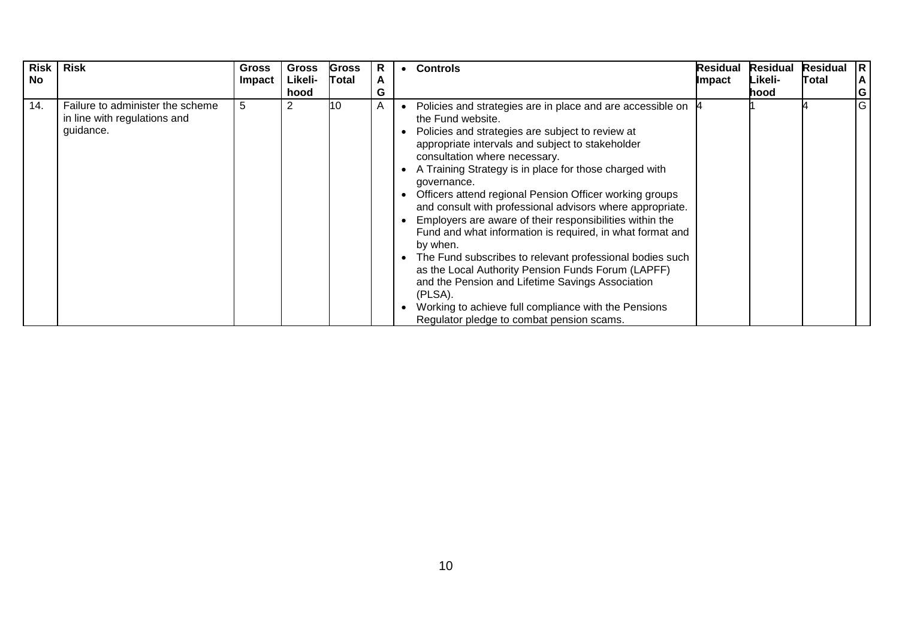| Risk<br><b>No</b> | <b>Risk</b>                                                                   | <b>Gross</b><br>Impact | <b>Gross</b><br>Likeli-<br>hood | <b>Gross</b><br><b>Total</b> | R<br>A<br>G | $\bullet$ | <b>Controls</b>                                                                                                                                                                                                                                                                                                                                                                                                                                                                                                                                                                                                                                                                                                                                                                                                                                      | <b>Residual</b><br>Impact | <b>Residual</b><br>Likeli-<br>hood | <b>Residual</b><br>Total | IR.<br>A<br>G |
|-------------------|-------------------------------------------------------------------------------|------------------------|---------------------------------|------------------------------|-------------|-----------|------------------------------------------------------------------------------------------------------------------------------------------------------------------------------------------------------------------------------------------------------------------------------------------------------------------------------------------------------------------------------------------------------------------------------------------------------------------------------------------------------------------------------------------------------------------------------------------------------------------------------------------------------------------------------------------------------------------------------------------------------------------------------------------------------------------------------------------------------|---------------------------|------------------------------------|--------------------------|---------------|
| 14.               | Failure to administer the scheme<br>in line with regulations and<br>guidance. | 5                      | 2                               | 10                           | A           |           | Policies and strategies are in place and are accessible on<br>the Fund website.<br>Policies and strategies are subject to review at<br>appropriate intervals and subject to stakeholder<br>consultation where necessary.<br>A Training Strategy is in place for those charged with<br>governance.<br>Officers attend regional Pension Officer working groups<br>and consult with professional advisors where appropriate.<br>Employers are aware of their responsibilities within the<br>Fund and what information is required, in what format and<br>by when.<br>The Fund subscribes to relevant professional bodies such<br>as the Local Authority Pension Funds Forum (LAPFF)<br>and the Pension and Lifetime Savings Association<br>(PLSA).<br>Working to achieve full compliance with the Pensions<br>Regulator pledge to combat pension scams. |                           |                                    |                          | G             |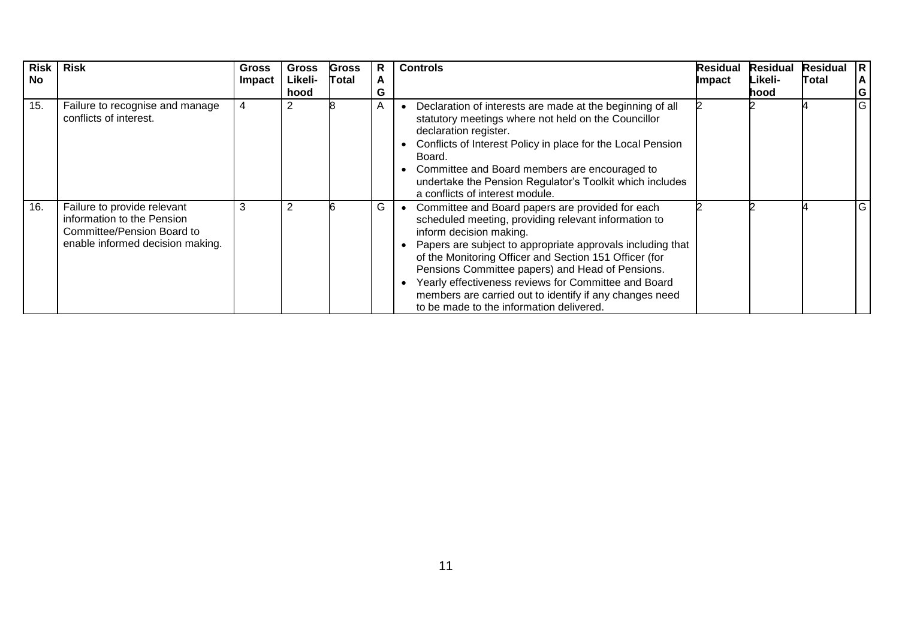| <b>Risk</b><br><b>No</b> | <b>Risk</b>                                                                                                                 | <b>Gross</b><br>Impact | <b>Gross</b><br>Likeli-<br>hood | <b>Gross</b><br>Total | R<br>A<br>G | <b>Controls</b>                                                                                                                                                                                                                                                                                                                                                                                                                                                                | <b>Residual</b><br>Impact | <b>Residual</b><br>Likeli-<br>hood | <b>Residual</b><br>Total | $ {\bf R} $<br>A<br>G |
|--------------------------|-----------------------------------------------------------------------------------------------------------------------------|------------------------|---------------------------------|-----------------------|-------------|--------------------------------------------------------------------------------------------------------------------------------------------------------------------------------------------------------------------------------------------------------------------------------------------------------------------------------------------------------------------------------------------------------------------------------------------------------------------------------|---------------------------|------------------------------------|--------------------------|-----------------------|
| 15.                      | Failure to recognise and manage<br>conflicts of interest.                                                                   | 4                      |                                 |                       | A           | Declaration of interests are made at the beginning of all<br>statutory meetings where not held on the Councillor<br>declaration register.<br>Conflicts of Interest Policy in place for the Local Pension<br>Board.<br>Committee and Board members are encouraged to<br>undertake the Pension Regulator's Toolkit which includes<br>a conflicts of interest module.                                                                                                             |                           |                                    |                          | $\overline{G}$        |
| 16.                      | Failure to provide relevant<br>information to the Pension<br>Committee/Pension Board to<br>enable informed decision making. | 3                      | $\overline{2}$                  |                       | G           | Committee and Board papers are provided for each<br>scheduled meeting, providing relevant information to<br>inform decision making.<br>Papers are subject to appropriate approvals including that<br>of the Monitoring Officer and Section 151 Officer (for<br>Pensions Committee papers) and Head of Pensions.<br>Yearly effectiveness reviews for Committee and Board<br>members are carried out to identify if any changes need<br>to be made to the information delivered. |                           |                                    |                          | IG.                   |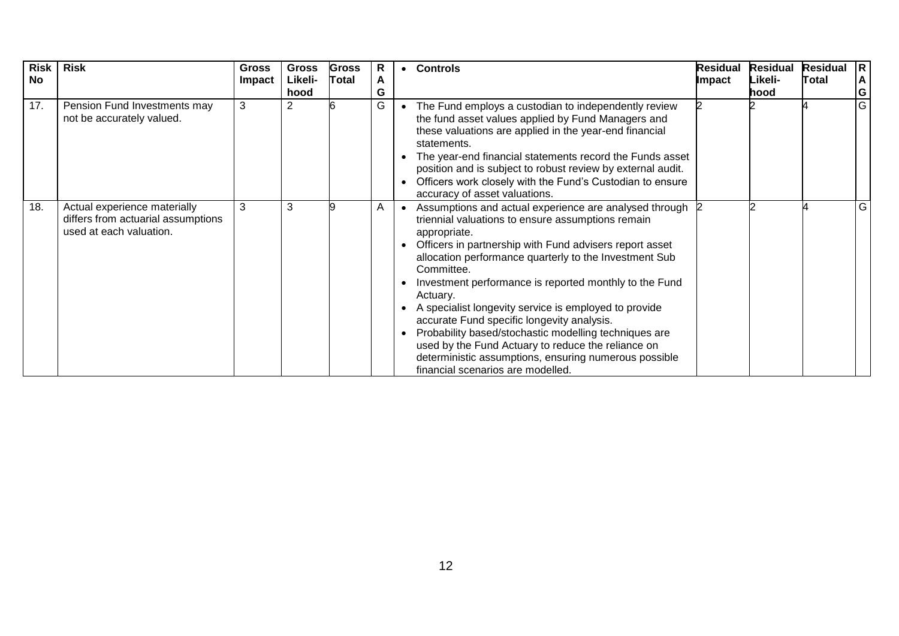| <b>Risk</b><br><b>No</b> | <b>Risk</b>                                                                                   | <b>Gross</b><br>Impact | <b>Gross</b><br>Likeli-<br>hood | <b>Gross</b><br>Total | R<br>A<br>G | <b>Controls</b>                                                                                                                                                                                                                                                                                                                                                                                                                                                                                                                                                                                                                                            | <b>Residual</b><br>Impact | <b>Residual</b><br>Likeli-<br>hood | <b>Residual</b><br>Total | R<br>A<br>G    |
|--------------------------|-----------------------------------------------------------------------------------------------|------------------------|---------------------------------|-----------------------|-------------|------------------------------------------------------------------------------------------------------------------------------------------------------------------------------------------------------------------------------------------------------------------------------------------------------------------------------------------------------------------------------------------------------------------------------------------------------------------------------------------------------------------------------------------------------------------------------------------------------------------------------------------------------------|---------------------------|------------------------------------|--------------------------|----------------|
| 17.                      | Pension Fund Investments may<br>not be accurately valued.                                     | 3                      | 2                               |                       | G           | The Fund employs a custodian to independently review<br>the fund asset values applied by Fund Managers and<br>these valuations are applied in the year-end financial<br>statements.<br>The year-end financial statements record the Funds asset<br>position and is subject to robust review by external audit.<br>Officers work closely with the Fund's Custodian to ensure<br>accuracy of asset valuations.                                                                                                                                                                                                                                               |                           |                                    |                          | $\overline{G}$ |
| 18.                      | Actual experience materially<br>differs from actuarial assumptions<br>used at each valuation. | 3                      | 3                               |                       | Α           | Assumptions and actual experience are analysed through 2<br>triennial valuations to ensure assumptions remain<br>appropriate.<br>Officers in partnership with Fund advisers report asset<br>allocation performance quarterly to the Investment Sub<br>Committee.<br>Investment performance is reported monthly to the Fund<br>Actuary.<br>A specialist longevity service is employed to provide<br>accurate Fund specific longevity analysis.<br>Probability based/stochastic modelling techniques are<br>used by the Fund Actuary to reduce the reliance on<br>deterministic assumptions, ensuring numerous possible<br>financial scenarios are modelled. |                           |                                    |                          | G              |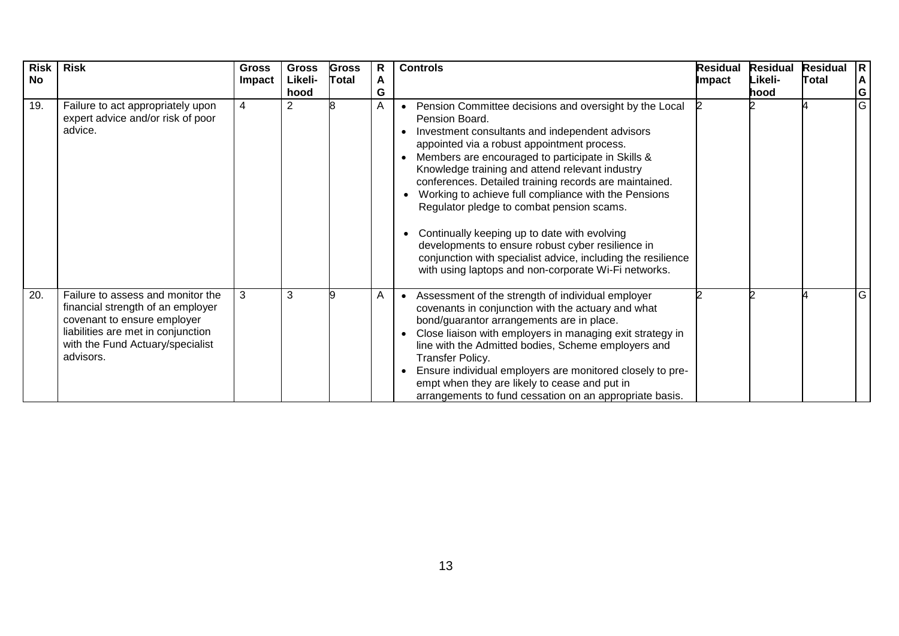| <b>Risk</b><br><b>No</b> | <b>Risk</b>                                                                                                                                                                                  | <b>Gross</b><br><b>Impact</b> | <b>Gross</b><br>Likeli-<br>hood | <b>Gross</b><br>Total | R<br>A<br>G | <b>Controls</b>                                                                                                                                                                                                                                                                                                                                                                                                                                                                                                                                                                                                                                                                | <b>Residual</b><br>Impact | <b>Residual</b><br>Likeli-<br>hood | <b>Residual</b><br>Total | R.<br>A<br>G |
|--------------------------|----------------------------------------------------------------------------------------------------------------------------------------------------------------------------------------------|-------------------------------|---------------------------------|-----------------------|-------------|--------------------------------------------------------------------------------------------------------------------------------------------------------------------------------------------------------------------------------------------------------------------------------------------------------------------------------------------------------------------------------------------------------------------------------------------------------------------------------------------------------------------------------------------------------------------------------------------------------------------------------------------------------------------------------|---------------------------|------------------------------------|--------------------------|--------------|
| 19.                      | Failure to act appropriately upon<br>expert advice and/or risk of poor<br>advice.                                                                                                            | 4                             | $\overline{2}$                  |                       | A           | Pension Committee decisions and oversight by the Local<br>Pension Board.<br>Investment consultants and independent advisors<br>appointed via a robust appointment process.<br>Members are encouraged to participate in Skills &<br>Knowledge training and attend relevant industry<br>conferences. Detailed training records are maintained.<br>Working to achieve full compliance with the Pensions<br>Regulator pledge to combat pension scams.<br>Continually keeping up to date with evolving<br>developments to ensure robust cyber resilience in<br>conjunction with specialist advice, including the resilience<br>with using laptops and non-corporate Wi-Fi networks. |                           |                                    |                          | G            |
| 20.                      | Failure to assess and monitor the<br>financial strength of an employer<br>covenant to ensure employer<br>liabilities are met in conjunction<br>with the Fund Actuary/specialist<br>advisors. | 3                             | 3                               |                       | A           | Assessment of the strength of individual employer<br>covenants in conjunction with the actuary and what<br>bond/guarantor arrangements are in place.<br>Close liaison with employers in managing exit strategy in<br>line with the Admitted bodies, Scheme employers and<br>Transfer Policy.<br>Ensure individual employers are monitored closely to pre-<br>empt when they are likely to cease and put in<br>arrangements to fund cessation on an appropriate basis.                                                                                                                                                                                                          |                           |                                    |                          | G            |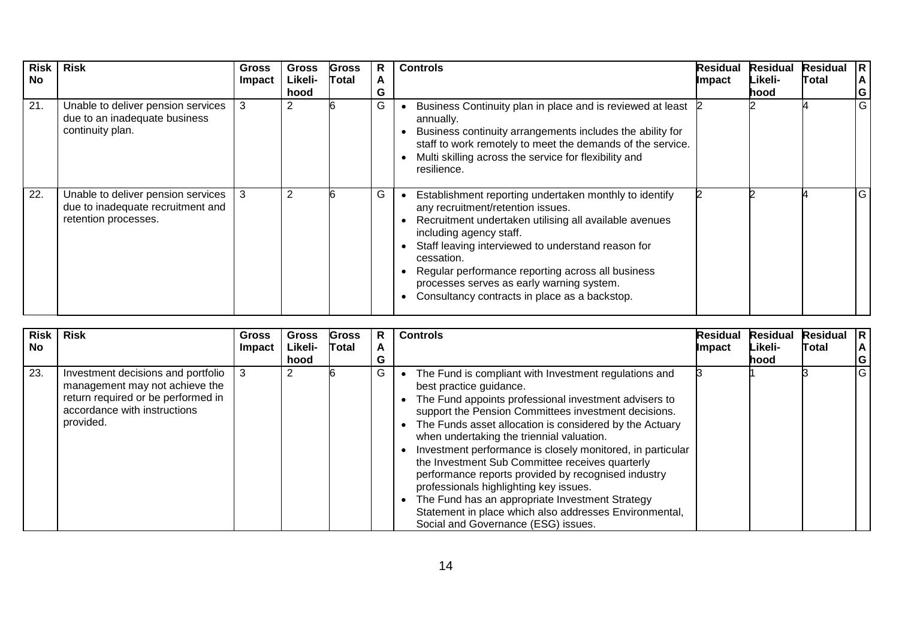| <b>Risk</b><br><b>No</b> | <b>Risk</b>                                                                                     | <b>Gross</b><br>Impact | <b>Gross</b><br>Likeli-<br>hood | <b>Gross</b><br><b>Total</b> | R<br>A<br>G | <b>Controls</b>                                                                                                                                                                                                                                                                                                                                                                                         | <b>Residual</b><br>Impact | <b>Residual</b><br>Likeli-<br>hood | <b>Residual</b><br>Total | IR.<br>A<br>G |
|--------------------------|-------------------------------------------------------------------------------------------------|------------------------|---------------------------------|------------------------------|-------------|---------------------------------------------------------------------------------------------------------------------------------------------------------------------------------------------------------------------------------------------------------------------------------------------------------------------------------------------------------------------------------------------------------|---------------------------|------------------------------------|--------------------------|---------------|
| 21.                      | Unable to deliver pension services<br>due to an inadequate business<br>continuity plan.         | 3                      |                                 |                              | G           | Business Continuity plan in place and is reviewed at least<br>annually.<br>Business continuity arrangements includes the ability for<br>staff to work remotely to meet the demands of the service.<br>Multi skilling across the service for flexibility and<br>resilience.                                                                                                                              |                           |                                    |                          | G             |
| 22.                      | Unable to deliver pension services<br>due to inadequate recruitment and<br>retention processes. | -3                     | 2                               |                              | G           | Establishment reporting undertaken monthly to identify<br>any recruitment/retention issues.<br>Recruitment undertaken utilising all available avenues<br>including agency staff.<br>Staff leaving interviewed to understand reason for<br>cessation.<br>Regular performance reporting across all business<br>processes serves as early warning system.<br>Consultancy contracts in place as a backstop. |                           |                                    |                          | lG.           |

| Risk<br><b>No</b> | Risk                                                                                                                                                    | <b>Gross</b><br>Impact | <b>Gross</b><br>Likeli-<br>hood | Gross<br>Total | R<br>A<br>G | <b>Controls</b>                                                                                                                                                                                                                                                                                                                                                                                                                                                                                                                                                                                                                                                                              | <b>Residual</b><br><b>Impact</b> | Residual<br>Likeli-<br>lhood. | Residual R<br><b>Total</b> | ΙA.<br> G |
|-------------------|---------------------------------------------------------------------------------------------------------------------------------------------------------|------------------------|---------------------------------|----------------|-------------|----------------------------------------------------------------------------------------------------------------------------------------------------------------------------------------------------------------------------------------------------------------------------------------------------------------------------------------------------------------------------------------------------------------------------------------------------------------------------------------------------------------------------------------------------------------------------------------------------------------------------------------------------------------------------------------------|----------------------------------|-------------------------------|----------------------------|-----------|
| 23.               | Investment decisions and portfolio<br>management may not achieve the<br>return required or be performed in<br>accordance with instructions<br>provided. | 3                      | 2                               |                | G           | The Fund is compliant with Investment regulations and<br>best practice guidance.<br>The Fund appoints professional investment advisers to<br>$\bullet$<br>support the Pension Committees investment decisions.<br>The Funds asset allocation is considered by the Actuary<br>when undertaking the triennial valuation.<br>Investment performance is closely monitored, in particular<br>the Investment Sub Committee receives quarterly<br>performance reports provided by recognised industry<br>professionals highlighting key issues.<br>The Fund has an appropriate Investment Strategy<br>Statement in place which also addresses Environmental,<br>Social and Governance (ESG) issues. |                                  |                               |                            | IG        |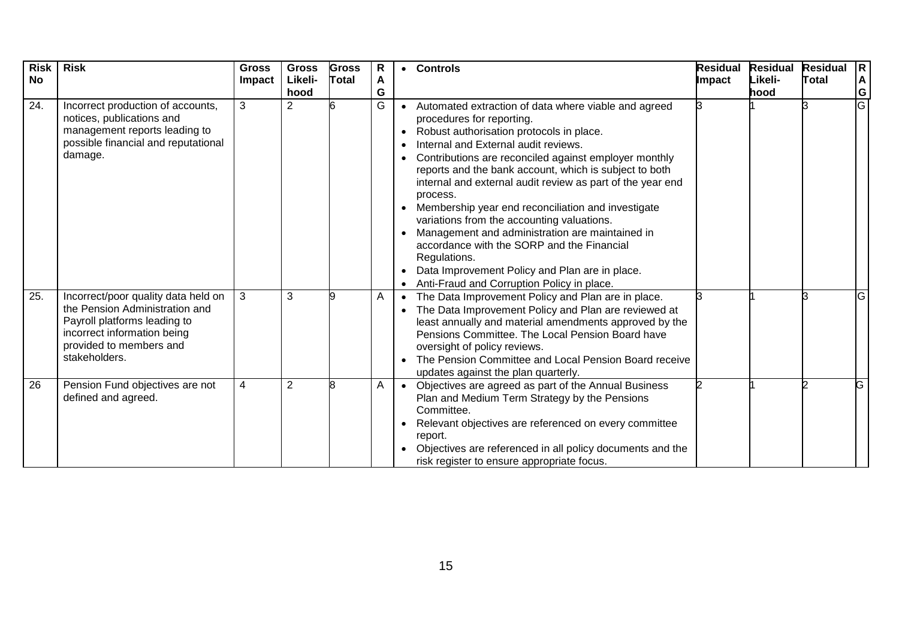| <b>Risk</b><br><b>No</b> | <b>Risk</b>                                                                                                                                                                      | <b>Gross</b><br><b>Impact</b> | <b>Gross</b><br>Likeli-<br>hood | <b>Gross</b><br>Total | $\mathsf{R}$<br>A<br>G |                                                  | • Controls                                                                                                                                                                                                                                                                                                                                                                                                                                                                                                                                                                                                                                                                              | <b>Residual</b><br>Impact | <b>Residual</b><br>Likeli-<br>hood | <b>Residual</b><br>Total | R.<br>$\boldsymbol{A}$<br>G |
|--------------------------|----------------------------------------------------------------------------------------------------------------------------------------------------------------------------------|-------------------------------|---------------------------------|-----------------------|------------------------|--------------------------------------------------|-----------------------------------------------------------------------------------------------------------------------------------------------------------------------------------------------------------------------------------------------------------------------------------------------------------------------------------------------------------------------------------------------------------------------------------------------------------------------------------------------------------------------------------------------------------------------------------------------------------------------------------------------------------------------------------------|---------------------------|------------------------------------|--------------------------|-----------------------------|
| 24.                      | Incorrect production of accounts,<br>notices, publications and<br>management reports leading to<br>possible financial and reputational<br>damage.                                | 3                             | 2                               |                       | G                      | $\bullet$<br>$\bullet$<br>$\bullet$<br>$\bullet$ | Automated extraction of data where viable and agreed<br>procedures for reporting.<br>Robust authorisation protocols in place.<br>Internal and External audit reviews.<br>Contributions are reconciled against employer monthly<br>reports and the bank account, which is subject to both<br>internal and external audit review as part of the year end<br>process.<br>Membership year end reconciliation and investigate<br>variations from the accounting valuations.<br>Management and administration are maintained in<br>accordance with the SORP and the Financial<br>Regulations.<br>Data Improvement Policy and Plan are in place.<br>Anti-Fraud and Corruption Policy in place. |                           |                                    |                          | G                           |
| 25.                      | Incorrect/poor quality data held on<br>the Pension Administration and<br>Payroll platforms leading to<br>incorrect information being<br>provided to members and<br>stakeholders. | 3                             | 3                               |                       | A                      | $\bullet$                                        | The Data Improvement Policy and Plan are in place.<br>The Data Improvement Policy and Plan are reviewed at<br>least annually and material amendments approved by the<br>Pensions Committee. The Local Pension Board have<br>oversight of policy reviews.<br>The Pension Committee and Local Pension Board receive<br>updates against the plan quarterly.                                                                                                                                                                                                                                                                                                                                |                           |                                    |                          | G                           |
| 26                       | Pension Fund objectives are not<br>defined and agreed.                                                                                                                           | 4                             | $\overline{2}$                  | 8                     | A                      | $\bullet$                                        | Objectives are agreed as part of the Annual Business<br>Plan and Medium Term Strategy by the Pensions<br>Committee.<br>Relevant objectives are referenced on every committee<br>report.<br>Objectives are referenced in all policy documents and the<br>risk register to ensure appropriate focus.                                                                                                                                                                                                                                                                                                                                                                                      |                           |                                    |                          | G                           |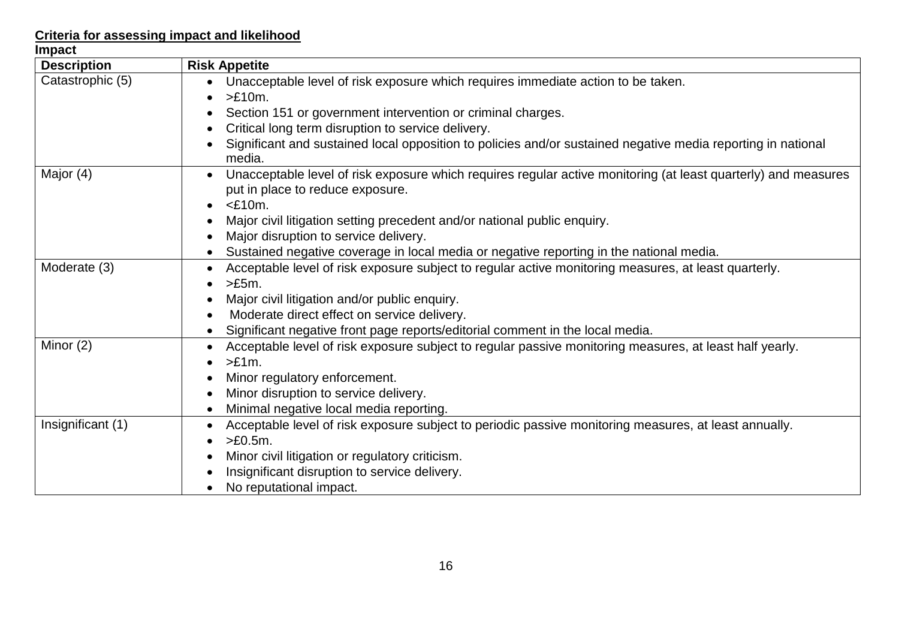## **Criteria for assessing impact and likelihood**

| <b>Impact</b>      |                                                                                                                                                                                                                                                                                                                                    |
|--------------------|------------------------------------------------------------------------------------------------------------------------------------------------------------------------------------------------------------------------------------------------------------------------------------------------------------------------------------|
| <b>Description</b> | <b>Risk Appetite</b>                                                                                                                                                                                                                                                                                                               |
| Catastrophic (5)   | Unacceptable level of risk exposure which requires immediate action to be taken.<br>$>E10m$ .<br>Section 151 or government intervention or criminal charges.<br>Critical long term disruption to service delivery.<br>Significant and sustained local opposition to policies and/or sustained negative media reporting in national |
|                    | media.                                                                                                                                                                                                                                                                                                                             |
| Major (4)          | Unacceptable level of risk exposure which requires regular active monitoring (at least quarterly) and measures<br>put in place to reduce exposure.<br>$<$ £10m.<br>$\bullet$                                                                                                                                                       |
|                    | Major civil litigation setting precedent and/or national public enquiry.                                                                                                                                                                                                                                                           |
|                    | Major disruption to service delivery.                                                                                                                                                                                                                                                                                              |
|                    | Sustained negative coverage in local media or negative reporting in the national media.                                                                                                                                                                                                                                            |
| Moderate (3)       | Acceptable level of risk exposure subject to regular active monitoring measures, at least quarterly.<br>>E5m.                                                                                                                                                                                                                      |
|                    | Major civil litigation and/or public enquiry.                                                                                                                                                                                                                                                                                      |
|                    | Moderate direct effect on service delivery.                                                                                                                                                                                                                                                                                        |
|                    | Significant negative front page reports/editorial comment in the local media.                                                                                                                                                                                                                                                      |
| Minor $(2)$        | Acceptable level of risk exposure subject to regular passive monitoring measures, at least half yearly.<br>$>E1m$ .                                                                                                                                                                                                                |
|                    | Minor regulatory enforcement.                                                                                                                                                                                                                                                                                                      |
|                    | Minor disruption to service delivery.                                                                                                                                                                                                                                                                                              |
|                    | Minimal negative local media reporting.                                                                                                                                                                                                                                                                                            |
| Insignificant (1)  | Acceptable level of risk exposure subject to periodic passive monitoring measures, at least annually.<br>$>E0.5m$ .                                                                                                                                                                                                                |
|                    | Minor civil litigation or regulatory criticism.                                                                                                                                                                                                                                                                                    |
|                    | Insignificant disruption to service delivery.                                                                                                                                                                                                                                                                                      |
|                    | No reputational impact.                                                                                                                                                                                                                                                                                                            |